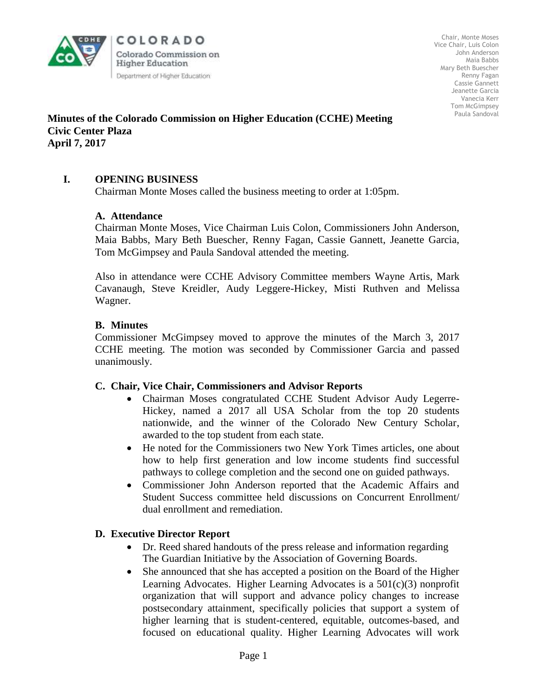

COLORADO Colorado Commission on **Higher Education** Department of Higher Education

Chair, Monte Moses Vice Chair, Luis Colon John Anderson Maia Babbs Mary Beth Buescher Renny Fagan Cassie Gannett Jeanette Garcia Vanecia Kerr Tom McGimpsey Paula Sandoval

## **Minutes of the Colorado Commission on Higher Education (CCHE) Meeting Civic Center Plaza April 7, 2017**

# **I. OPENING BUSINESS**

Chairman Monte Moses called the business meeting to order at 1:05pm.

## **A. Attendance**

Chairman Monte Moses, Vice Chairman Luis Colon, Commissioners John Anderson, Maia Babbs, Mary Beth Buescher, Renny Fagan, Cassie Gannett, Jeanette Garcia, Tom McGimpsey and Paula Sandoval attended the meeting.

Also in attendance were CCHE Advisory Committee members Wayne Artis, Mark Cavanaugh, Steve Kreidler, Audy Leggere-Hickey, Misti Ruthven and Melissa Wagner.

### **B. Minutes**

Commissioner McGimpsey moved to approve the minutes of the March 3, 2017 CCHE meeting. The motion was seconded by Commissioner Garcia and passed unanimously.

#### **C. Chair, Vice Chair, Commissioners and Advisor Reports**

- Chairman Moses congratulated CCHE Student Advisor Audy Legerre-Hickey, named a 2017 all USA Scholar from the top 20 students nationwide, and the winner of the Colorado New Century Scholar, awarded to the top student from each state.
- He noted for the Commissioners two New York Times articles, one about how to help first generation and low income students find successful pathways to college completion and the second one on guided pathways.
- Commissioner John Anderson reported that the Academic Affairs and Student Success committee held discussions on Concurrent Enrollment/ dual enrollment and remediation.

## **D. Executive Director Report**

- Dr. Reed shared handouts of the press release and information regarding The Guardian Initiative by the Association of Governing Boards.
- She announced that she has accepted a position on the Board of the Higher Learning Advocates. Higher Learning Advocates is a  $501(c)(3)$  nonprofit organization that will support and advance policy changes to increase postsecondary attainment, specifically policies that support a system of higher learning that is student-centered, equitable, outcomes-based, and focused on educational quality. Higher Learning Advocates will work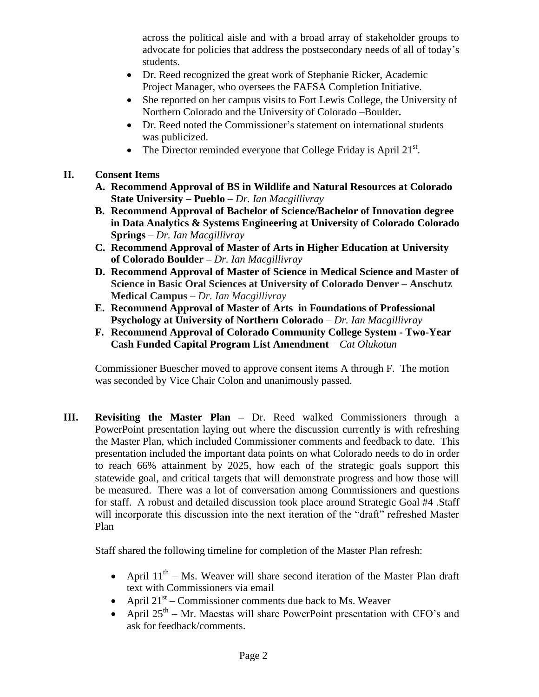across the political aisle and with a broad array of stakeholder groups to advocate for policies that address the postsecondary needs of all of today's students.

- Dr. Reed recognized the great work of Stephanie Ricker, Academic Project Manager, who oversees the FAFSA Completion Initiative.
- She reported on her campus visits to Fort Lewis College, the University of Northern Colorado and the University of Colorado –Boulder**.**
- Dr. Reed noted the Commissioner's statement on international students was publicized.
- The Director reminded everyone that College Friday is April  $21^{st}$ .

# **II. Consent Items**

- **A. Recommend Approval of BS in Wildlife and Natural Resources at Colorado State University – Pueblo** – *Dr. Ian Macgillivray*
- **B. Recommend Approval of Bachelor of Science/Bachelor of Innovation degree in Data Analytics & Systems Engineering at University of Colorado Colorado Springs** – *Dr. Ian Macgillivray*
- **C. Recommend Approval of Master of Arts in Higher Education at University of Colorado Boulder –** *Dr. Ian Macgillivray*
- **D. Recommend Approval of Master of Science in Medical Science and Master of Science in Basic Oral Sciences at University of Colorado Denver – Anschutz Medical Campus** – *Dr. Ian Macgillivray*
- **E. Recommend Approval of Master of Arts in Foundations of Professional Psychology at University of Northern Colorado** – *Dr. Ian Macgillivray*
- **F. Recommend Approval of Colorado Community College System - Two-Year Cash Funded Capital Program List Amendment** – *Cat Olukotun*

Commissioner Buescher moved to approve consent items A through F. The motion was seconded by Vice Chair Colon and unanimously passed.

**III. Revisiting the Master Plan –** Dr. Reed walked Commissioners through a PowerPoint presentation laying out where the discussion currently is with refreshing the Master Plan, which included Commissioner comments and feedback to date. This presentation included the important data points on what Colorado needs to do in order to reach 66% attainment by 2025, how each of the strategic goals support this statewide goal, and critical targets that will demonstrate progress and how those will be measured. There was a lot of conversation among Commissioners and questions for staff. A robust and detailed discussion took place around Strategic Goal #4 .Staff will incorporate this discussion into the next iteration of the "draft" refreshed Master Plan

Staff shared the following timeline for completion of the Master Plan refresh:

- April  $11<sup>th</sup>$  Ms. Weaver will share second iteration of the Master Plan draft text with Commissioners via email
- April  $21<sup>st</sup>$  Commissioner comments due back to Ms. Weaver
- April  $25<sup>th</sup>$  Mr. Maestas will share PowerPoint presentation with CFO's and ask for feedback/comments.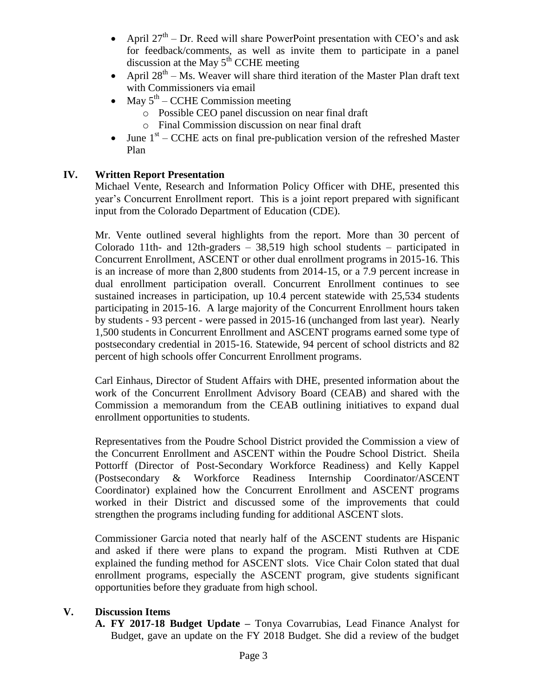- April  $27<sup>th</sup>$  Dr. Reed will share PowerPoint presentation with CEO's and ask for feedback/comments, as well as invite them to participate in a panel discussion at the May  $5<sup>th</sup>$  CCHE meeting
- April  $28^{th}$  Ms. Weaver will share third iteration of the Master Plan draft text with Commissioners via email
- May  $5^{\text{th}}$  CCHE Commission meeting
	- o Possible CEO panel discussion on near final draft
	- o Final Commission discussion on near final draft
- June  $1<sup>st</sup>$  CCHE acts on final pre-publication version of the refreshed Master Plan

# **IV. Written Report Presentation**

Michael Vente, Research and Information Policy Officer with DHE, presented this year's Concurrent Enrollment report. This is a joint report prepared with significant input from the Colorado Department of Education (CDE).

Mr. Vente outlined several highlights from the report. More than 30 percent of Colorado 11th- and 12th-graders  $-38,519$  high school students  $-$  participated in Concurrent Enrollment, ASCENT or other dual enrollment programs in 2015-16. This is an increase of more than 2,800 students from 2014-15, or a 7.9 percent increase in dual enrollment participation overall. Concurrent Enrollment continues to see sustained increases in participation, up 10.4 percent statewide with 25,534 students participating in 2015-16. A large majority of the Concurrent Enrollment hours taken by students - 93 percent - were passed in 2015-16 (unchanged from last year). Nearly 1,500 students in Concurrent Enrollment and ASCENT programs earned some type of postsecondary credential in 2015-16. Statewide, 94 percent of school districts and 82 percent of high schools offer Concurrent Enrollment programs.

Carl Einhaus, Director of Student Affairs with DHE, presented information about the work of the Concurrent Enrollment Advisory Board (CEAB) and shared with the Commission a memorandum from the CEAB outlining initiatives to expand dual enrollment opportunities to students.

Representatives from the Poudre School District provided the Commission a view of the Concurrent Enrollment and ASCENT within the Poudre School District. Sheila Pottorff (Director of Post-Secondary Workforce Readiness) and Kelly Kappel (Postsecondary & Workforce Readiness Internship Coordinator/ASCENT Coordinator) explained how the Concurrent Enrollment and ASCENT programs worked in their District and discussed some of the improvements that could strengthen the programs including funding for additional ASCENT slots.

Commissioner Garcia noted that nearly half of the ASCENT students are Hispanic and asked if there were plans to expand the program. Misti Ruthven at CDE explained the funding method for ASCENT slots. Vice Chair Colon stated that dual enrollment programs, especially the ASCENT program, give students significant opportunities before they graduate from high school.

# **V. Discussion Items**

**A. FY 2017-18 Budget Update –** Tonya Covarrubias, Lead Finance Analyst for Budget, gave an update on the FY 2018 Budget. She did a review of the budget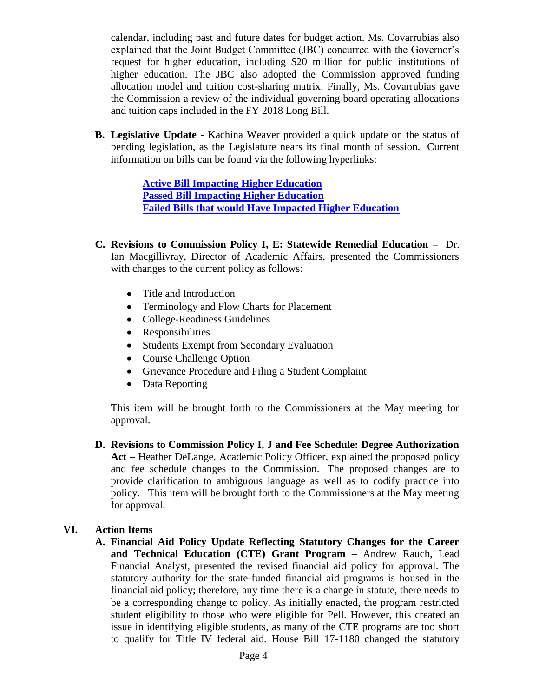calendar, including past and future dates for budget action. Ms. Covarrubias also explained that the Joint Budget Committee (JBC) concurred with the Governor's request for higher education, including \$20 million for public institutions of higher education. The JBC also adopted the Commission approved funding allocation model and tuition cost-sharing matrix. Finally, Ms. Covarrubias gave the Commission a review of the individual governing board operating allocations and tuition caps included in the FY 2018 Long Bill.

**B. Legislative Update -** Kachina Weaver provided a quick update on the status of pending legislation, as the Legislature nears its final month of session. Current information on bills can be found via the following hyperlinks:

> **[Active Bill Impacting Higher Education](http://www.coloradocapitolwatch.com/bill-tracker-votes/0/3426/2017/0/) [Passed Bill Impacting Higher Education](http://coloradocapitolwatch.com/bill-tracker-votes/0/4552/2017/0/) [Failed Bills that would Have Impacted Higher Education](http://coloradocapitolwatch.com/bill-tracker-votes/0/4551/2017/0/)**

- **C. Revisions to Commission Policy I, E: Statewide Remedial Education –** Dr. Ian Macgillivray, Director of Academic Affairs, presented the Commissioners with changes to the current policy as follows:
	- Title and Introduction
	- Terminology and Flow Charts for Placement
	- College-Readiness Guidelines
	- Responsibilities
	- Students Exempt from Secondary Evaluation
	- Course Challenge Option
	- Grievance Procedure and Filing a Student Complaint
	- Data Reporting

This item will be brought forth to the Commissioners at the May meeting for approval.

**D. Revisions to Commission Policy I, J and Fee Schedule: Degree Authorization Act –** Heather DeLange, Academic Policy Officer, explained the proposed policy and fee schedule changes to the Commission. The proposed changes are to provide clarification to ambiguous language as well as to codify practice into policy. This item will be brought forth to the Commissioners at the May meeting for approval.

# **VI. Action Items**

**A. Financial Aid Policy Update Reflecting Statutory Changes for the Career and Technical Education (CTE) Grant Program –** Andrew Rauch, Lead Financial Analyst, presented the revised financial aid policy for approval. The statutory authority for the state-funded financial aid programs is housed in the financial aid policy; therefore, any time there is a change in statute, there needs to be a corresponding change to policy. As initially enacted, the program restricted student eligibility to those who were eligible for Pell. However, this created an issue in identifying eligible students, as many of the CTE programs are too short to qualify for Title IV federal aid. House Bill 17-1180 changed the statutory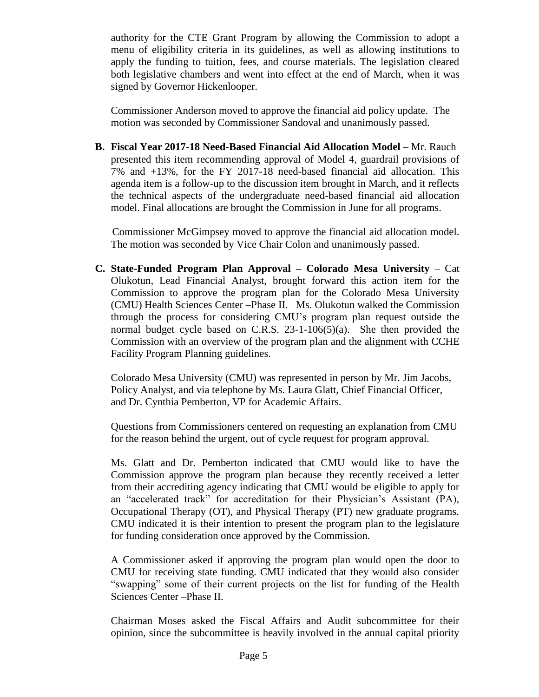authority for the CTE Grant Program by allowing the Commission to adopt a menu of eligibility criteria in its guidelines, as well as allowing institutions to apply the funding to tuition, fees, and course materials. The legislation cleared both legislative chambers and went into effect at the end of March, when it was signed by Governor Hickenlooper.

Commissioner Anderson moved to approve the financial aid policy update. The motion was seconded by Commissioner Sandoval and unanimously passed.

**B.** Fiscal Year 2017-18 Need-Based Financial Aid Allocation Model – Mr. Rauch presented this item recommending approval of Model 4, guardrail provisions of 7% and +13%, for the FY 2017-18 need-based financial aid allocation. This agenda item is a follow-up to the discussion item brought in March, and it reflects the technical aspects of the undergraduate need-based financial aid allocation model. Final allocations are brought the Commission in June for all programs.

 Commissioner McGimpsey moved to approve the financial aid allocation model. The motion was seconded by Vice Chair Colon and unanimously passed.

**C. State-Funded Program Plan Approval – Colorado Mesa University** – Cat Olukotun, Lead Financial Analyst, brought forward this action item for the Commission to approve the program plan for the Colorado Mesa University (CMU) Health Sciences Center –Phase II. Ms. Olukotun walked the Commission through the process for considering CMU's program plan request outside the normal budget cycle based on C.R.S. 23-1-106(5)(a). She then provided the Commission with an overview of the program plan and the alignment with CCHE Facility Program Planning guidelines.

Colorado Mesa University (CMU) was represented in person by Mr. Jim Jacobs, Policy Analyst, and via telephone by Ms. Laura Glatt, Chief Financial Officer, and Dr. Cynthia Pemberton, VP for Academic Affairs.

Questions from Commissioners centered on requesting an explanation from CMU for the reason behind the urgent, out of cycle request for program approval.

Ms. Glatt and Dr. Pemberton indicated that CMU would like to have the Commission approve the program plan because they recently received a letter from their accrediting agency indicating that CMU would be eligible to apply for an "accelerated track" for accreditation for their Physician's Assistant (PA), Occupational Therapy (OT), and Physical Therapy (PT) new graduate programs. CMU indicated it is their intention to present the program plan to the legislature for funding consideration once approved by the Commission.

A Commissioner asked if approving the program plan would open the door to CMU for receiving state funding. CMU indicated that they would also consider "swapping" some of their current projects on the list for funding of the Health Sciences Center –Phase II.

Chairman Moses asked the Fiscal Affairs and Audit subcommittee for their opinion, since the subcommittee is heavily involved in the annual capital priority